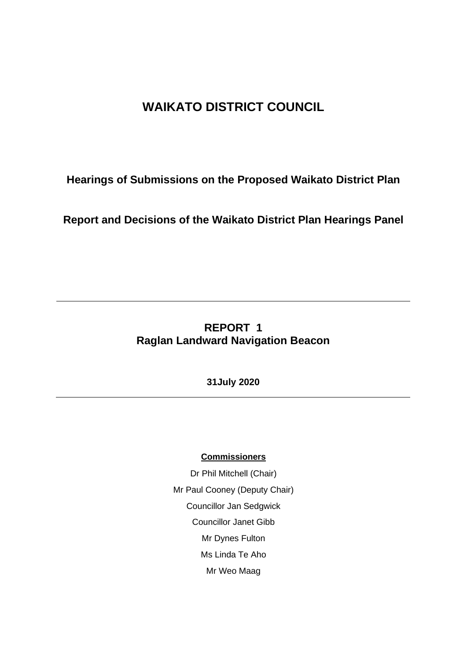# **WAIKATO DISTRICT COUNCIL**

**Hearings of Submissions on the Proposed Waikato District Plan**

**Report and Decisions of the Waikato District Plan Hearings Panel**

## **REPORT 1 Raglan Landward Navigation Beacon**

**31July 2020**

#### **Commissioners**

Dr Phil Mitchell (Chair) Mr Paul Cooney (Deputy Chair) Councillor Jan Sedgwick Councillor Janet Gibb Mr Dynes Fulton Ms Linda Te Aho Mr Weo Maag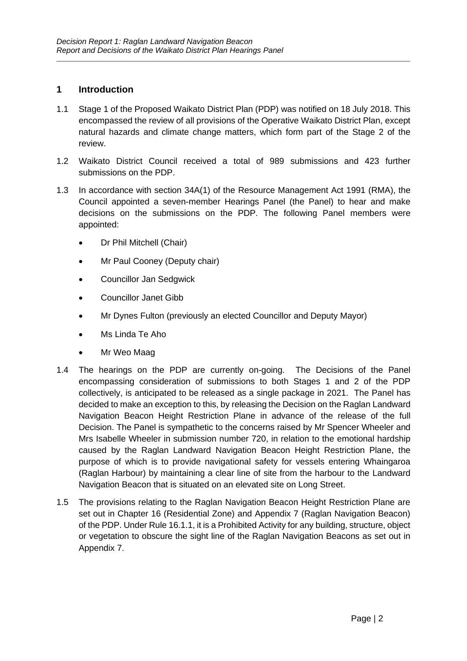#### **1 Introduction**

- 1.1 Stage 1 of the Proposed Waikato District Plan (PDP) was notified on 18 July 2018. This encompassed the review of all provisions of the Operative Waikato District Plan, except natural hazards and climate change matters, which form part of the Stage 2 of the review.
- 1.2 Waikato District Council received a total of 989 submissions and 423 further submissions on the PDP.
- 1.3 In accordance with section 34A(1) of the Resource Management Act 1991 (RMA), the Council appointed a seven-member Hearings Panel (the Panel) to hear and make decisions on the submissions on the PDP. The following Panel members were appointed:
	- Dr Phil Mitchell (Chair)
	- Mr Paul Cooney (Deputy chair)
	- Councillor Jan Sedgwick
	- Councillor Janet Gibb
	- Mr Dynes Fulton (previously an elected Councillor and Deputy Mayor)
	- Ms Linda Te Aho
	- Mr Weo Maag
- 1.4 The hearings on the PDP are currently on-going. The Decisions of the Panel encompassing consideration of submissions to both Stages 1 and 2 of the PDP collectively, is anticipated to be released as a single package in 2021. The Panel has decided to make an exception to this, by releasing the Decision on the Raglan Landward Navigation Beacon Height Restriction Plane in advance of the release of the full Decision. The Panel is sympathetic to the concerns raised by Mr Spencer Wheeler and Mrs Isabelle Wheeler in submission number 720, in relation to the emotional hardship caused by the Raglan Landward Navigation Beacon Height Restriction Plane, the purpose of which is to provide navigational safety for vessels entering Whaingaroa (Raglan Harbour) by maintaining a clear line of site from the harbour to the Landward Navigation Beacon that is situated on an elevated site on Long Street.
- 1.5 The provisions relating to the Raglan Navigation Beacon Height Restriction Plane are set out in Chapter 16 (Residential Zone) and Appendix 7 (Raglan Navigation Beacon) of the PDP. Under Rule 16.1.1, it is a Prohibited Activity for any building, structure, object or vegetation to obscure the sight line of the Raglan Navigation Beacons as set out in Appendix 7.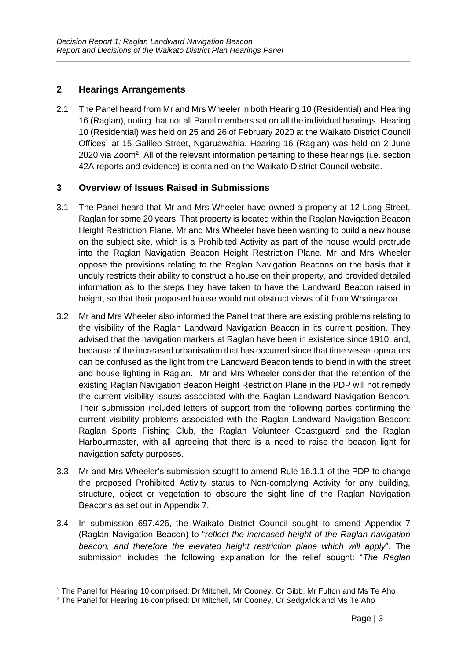#### **2 Hearings Arrangements**

2.1 The Panel heard from Mr and Mrs Wheeler in both Hearing 10 (Residential) and Hearing 16 (Raglan), noting that not all Panel members sat on all the individual hearings. Hearing 10 (Residential) was held on 25 and 26 of February 2020 at the Waikato District Council Offices<sup>1</sup> at 15 Galileo Street, Ngaruawahia. Hearing 16 (Raglan) was held on 2 June 2020 via Zoom<sup>2</sup>. All of the relevant information pertaining to these hearings (i.e. section 42A reports and evidence) is contained on the Waikato District Council website.

#### **3 Overview of Issues Raised in Submissions**

- 3.1 The Panel heard that Mr and Mrs Wheeler have owned a property at 12 Long Street, Raglan for some 20 years. That property is located within the Raglan Navigation Beacon Height Restriction Plane. Mr and Mrs Wheeler have been wanting to build a new house on the subject site, which is a Prohibited Activity as part of the house would protrude into the Raglan Navigation Beacon Height Restriction Plane. Mr and Mrs Wheeler oppose the provisions relating to the Raglan Navigation Beacons on the basis that it unduly restricts their ability to construct a house on their property, and provided detailed information as to the steps they have taken to have the Landward Beacon raised in height, so that their proposed house would not obstruct views of it from Whaingaroa.
- 3.2 Mr and Mrs Wheeler also informed the Panel that there are existing problems relating to the visibility of the Raglan Landward Navigation Beacon in its current position. They advised that the navigation markers at Raglan have been in existence since 1910, and, because of the increased urbanisation that has occurred since that time vessel operators can be confused as the light from the Landward Beacon tends to blend in with the street and house lighting in Raglan. Mr and Mrs Wheeler consider that the retention of the existing Raglan Navigation Beacon Height Restriction Plane in the PDP will not remedy the current visibility issues associated with the Raglan Landward Navigation Beacon. Their submission included letters of support from the following parties confirming the current visibility problems associated with the Raglan Landward Navigation Beacon: Raglan Sports Fishing Club, the Raglan Volunteer Coastguard and the Raglan Harbourmaster, with all agreeing that there is a need to raise the beacon light for navigation safety purposes.
- 3.3 Mr and Mrs Wheeler's submission sought to amend Rule 16.1.1 of the PDP to change the proposed Prohibited Activity status to Non-complying Activity for any building, structure, object or vegetation to obscure the sight line of the Raglan Navigation Beacons as set out in Appendix 7.
- 3.4 In submission 697.426, the Waikato District Council sought to amend Appendix 7 (Raglan Navigation Beacon) to "*reflect the increased height of the Raglan navigation beacon, and therefore the elevated height restriction plane which will apply*". The submission includes the following explanation for the relief sought: "*The Raglan*

<sup>1</sup> The Panel for Hearing 10 comprised: Dr Mitchell, Mr Cooney, Cr Gibb, Mr Fulton and Ms Te Aho

<sup>2</sup> The Panel for Hearing 16 comprised: Dr Mitchell, Mr Cooney, Cr Sedgwick and Ms Te Aho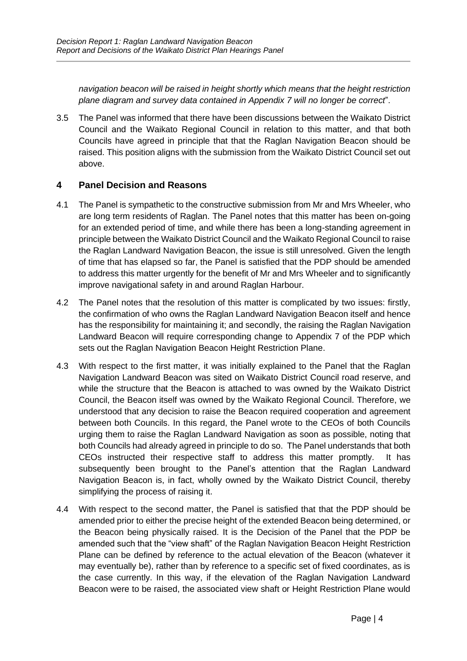*navigation beacon will be raised in height shortly which means that the height restriction plane diagram and survey data contained in Appendix 7 will no longer be correct*".

3.5 The Panel was informed that there have been discussions between the Waikato District Council and the Waikato Regional Council in relation to this matter, and that both Councils have agreed in principle that that the Raglan Navigation Beacon should be raised. This position aligns with the submission from the Waikato District Council set out above.

### **4 Panel Decision and Reasons**

- 4.1 The Panel is sympathetic to the constructive submission from Mr and Mrs Wheeler, who are long term residents of Raglan. The Panel notes that this matter has been on-going for an extended period of time, and while there has been a long-standing agreement in principle between the Waikato District Council and the Waikato Regional Council to raise the Raglan Landward Navigation Beacon, the issue is still unresolved. Given the length of time that has elapsed so far, the Panel is satisfied that the PDP should be amended to address this matter urgently for the benefit of Mr and Mrs Wheeler and to significantly improve navigational safety in and around Raglan Harbour.
- 4.2 The Panel notes that the resolution of this matter is complicated by two issues: firstly, the confirmation of who owns the Raglan Landward Navigation Beacon itself and hence has the responsibility for maintaining it; and secondly, the raising the Raglan Navigation Landward Beacon will require corresponding change to Appendix 7 of the PDP which sets out the Raglan Navigation Beacon Height Restriction Plane.
- 4.3 With respect to the first matter, it was initially explained to the Panel that the Raglan Navigation Landward Beacon was sited on Waikato District Council road reserve, and while the structure that the Beacon is attached to was owned by the Waikato District Council, the Beacon itself was owned by the Waikato Regional Council. Therefore, we understood that any decision to raise the Beacon required cooperation and agreement between both Councils. In this regard, the Panel wrote to the CEOs of both Councils urging them to raise the Raglan Landward Navigation as soon as possible, noting that both Councils had already agreed in principle to do so. The Panel understands that both CEOs instructed their respective staff to address this matter promptly. It has subsequently been brought to the Panel's attention that the Raglan Landward Navigation Beacon is, in fact, wholly owned by the Waikato District Council, thereby simplifying the process of raising it.
- 4.4 With respect to the second matter, the Panel is satisfied that that the PDP should be amended prior to either the precise height of the extended Beacon being determined, or the Beacon being physically raised. It is the Decision of the Panel that the PDP be amended such that the "view shaft" of the Raglan Navigation Beacon Height Restriction Plane can be defined by reference to the actual elevation of the Beacon (whatever it may eventually be), rather than by reference to a specific set of fixed coordinates, as is the case currently. In this way, if the elevation of the Raglan Navigation Landward Beacon were to be raised, the associated view shaft or Height Restriction Plane would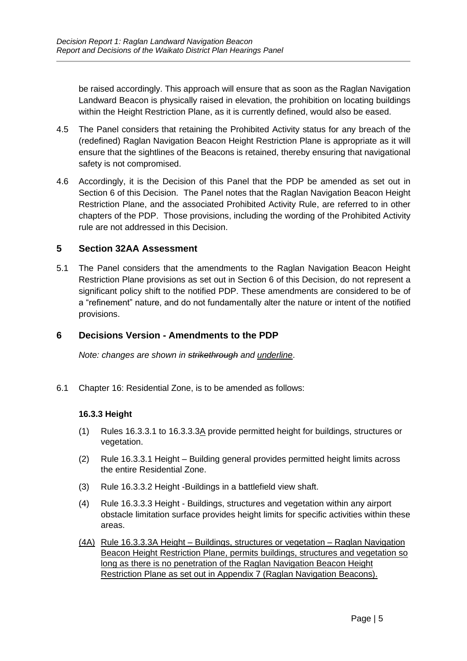be raised accordingly. This approach will ensure that as soon as the Raglan Navigation Landward Beacon is physically raised in elevation, the prohibition on locating buildings within the Height Restriction Plane, as it is currently defined, would also be eased.

- 4.5 The Panel considers that retaining the Prohibited Activity status for any breach of the (redefined) Raglan Navigation Beacon Height Restriction Plane is appropriate as it will ensure that the sightlines of the Beacons is retained, thereby ensuring that navigational safety is not compromised.
- 4.6 Accordingly, it is the Decision of this Panel that the PDP be amended as set out in Section 6 of this Decision. The Panel notes that the Raglan Navigation Beacon Height Restriction Plane, and the associated Prohibited Activity Rule, are referred to in other chapters of the PDP. Those provisions, including the wording of the Prohibited Activity rule are not addressed in this Decision.

#### **5 Section 32AA Assessment**

5.1 The Panel considers that the amendments to the Raglan Navigation Beacon Height Restriction Plane provisions as set out in Section 6 of this Decision, do not represent a significant policy shift to the notified PDP. These amendments are considered to be of a "refinement" nature, and do not fundamentally alter the nature or intent of the notified provisions.

### **6 Decisions Version - Amendments to the PDP**

*Note: changes are shown in strikethrough and underline*.

6.1 Chapter 16: Residential Zone, is to be amended as follows:

#### **16.3.3 Height**

- (1) Rules 16.3.3.1 to 16.3.3.3A provide permitted height for buildings, structures or vegetation.
- (2) Rule 16.3.3.1 Height Building general provides permitted height limits across the entire Residential Zone.
- (3) Rule 16.3.3.2 Height -Buildings in a battlefield view shaft.
- (4) Rule 16.3.3.3 Height Buildings, structures and vegetation within any airport obstacle limitation surface provides height limits for specific activities within these areas.
- (4A) Rule 16.3.3.3A Height Buildings, structures or vegetation Raglan Navigation Beacon Height Restriction Plane, permits buildings, structures and vegetation so long as there is no penetration of the Raglan Navigation Beacon Height Restriction Plane as set out in Appendix 7 (Raglan Navigation Beacons).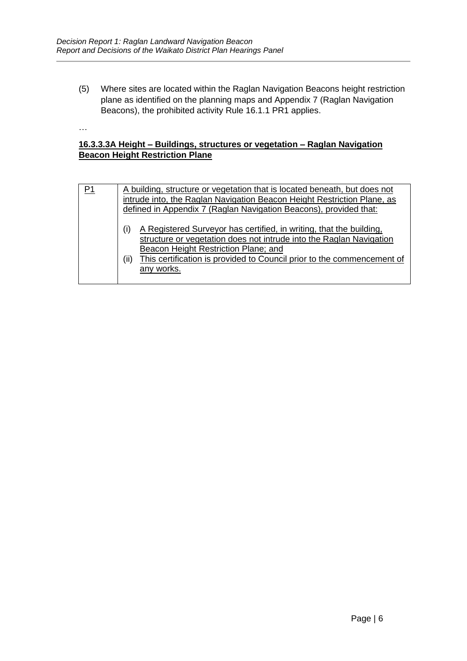…

(5) Where sites are located within the Raglan Navigation Beacons height restriction plane as identified on the planning maps and Appendix 7 (Raglan Navigation Beacons), the prohibited activity Rule 16.1.1 PR1 applies.

#### **16.3.3.3A Height – Buildings, structures or vegetation – Raglan Navigation Beacon Height Restriction Plane**

| P1 | A building, structure or vegetation that is located beneath, but does not<br>intrude into, the Raglan Navigation Beacon Height Restriction Plane, as<br>defined in Appendix 7 (Raglan Navigation Beacons), provided that:                                                                 |
|----|-------------------------------------------------------------------------------------------------------------------------------------------------------------------------------------------------------------------------------------------------------------------------------------------|
|    | (i)<br>A Registered Surveyor has certified, in writing, that the building,<br>structure or vegetation does not intrude into the Raglan Navigation<br>Beacon Height Restriction Plane; and<br>This certification is provided to Council prior to the commencement of<br>(ii)<br>any works. |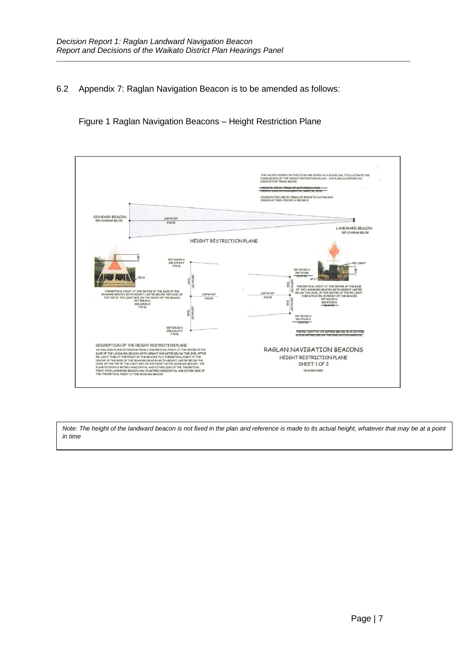#### 6.2 Appendix 7: Raglan Navigation Beacon is to be amended as follows:

Figure 1 Raglan Navigation Beacons – Height Restriction Plane



*Note: The height of the landward beacon is not fixed in the plan and reference is made to its actual height, whatever that may be at a point in time*